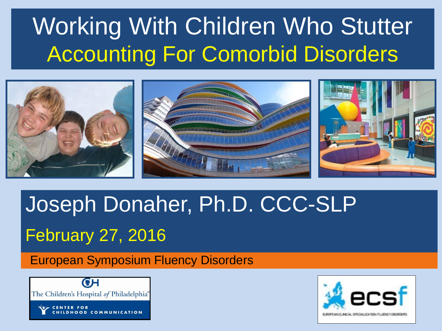## Working With Children Who Stutter Accounting For Comorbid Disorders



## Joseph Donaher, Ph.D. CCC-SLP February 27, 2016

#### European Symposium Fluency Disorders



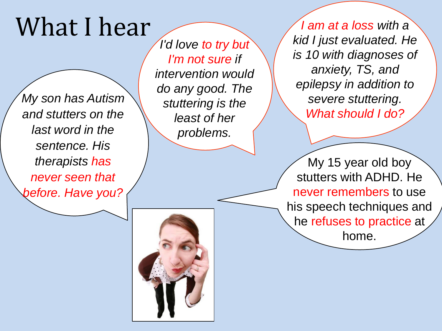## What I hear

*My son has Autism and stutters on the last word in the sentence. His therapists has never seen that before. Have you?*

*I'd love to try but I'm not sure if intervention would do any good. The stuttering is the least of her problems.* 

*I am at a loss with a kid I just evaluated. He is 10 with diagnoses of anxiety, TS, and epilepsy in addition to severe stuttering. What should I do?* 

My 15 year old boy stutters with ADHD. He never remembers to use his speech techniques and he refuses to practice at home.

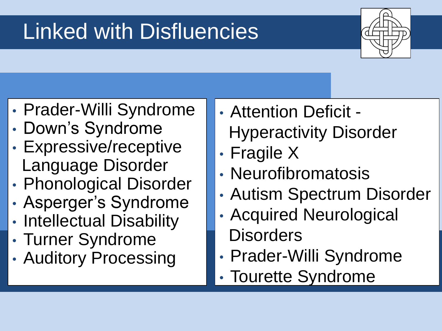## Linked with Disfluencies



- Prader-Willi Syndrome
- Down's Syndrome
- Expressive/receptive Language Disorder
- Phonological Disorder
- Asperger's Syndrome
- Intellectual Disability
- Turner Syndrome
- Auditory Processing
- Attention Deficit Hyperactivity Disorder
- Fragile X
- Neurofibromatosis
- Autism Spectrum Disorder
- Acquired Neurological
- **Disorders**
- Prader-Willi Syndrome
- Tourette Syndrome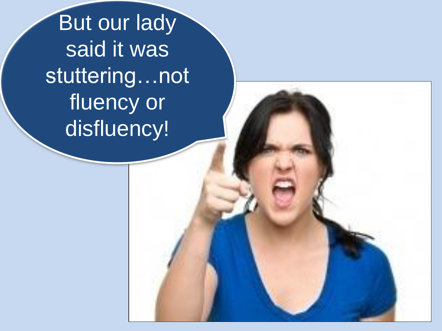**But our lady** said it was stuttering…not fluency or disfluency!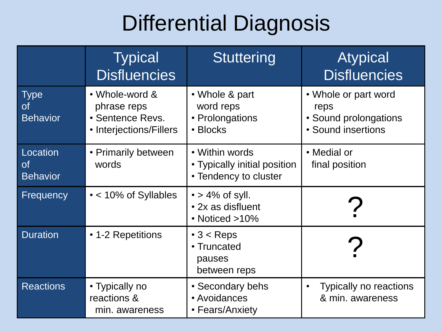#### Differential Diagnosis

|                                             | <b>Typical</b><br><b>Disfluencies</b>                                               | <b>Stuttering</b>                                                       | <b>Atypical</b><br><b>Disfluencies</b>                                      |
|---------------------------------------------|-------------------------------------------------------------------------------------|-------------------------------------------------------------------------|-----------------------------------------------------------------------------|
| <b>Type</b><br><b>of</b><br><b>Behavior</b> | • Whole-word &<br>phrase reps<br><b>• Sentence Revs.</b><br>• Interjections/Fillers | • Whole & part<br>word reps<br>• Prolongations<br>• Blocks              | • Whole or part word<br>reps<br>• Sound prolongations<br>• Sound insertions |
| Location<br><b>of</b><br><b>Behavior</b>    | • Primarily between<br>words                                                        | • Within words<br>• Typically initial position<br>• Tendency to cluster | • Medial or<br>final position                                               |
| Frequency                                   | • < 10% of Syllables                                                                | $\cdot$ > 4% of syll.<br>• 2x as disfluent<br>• Noticed >10%            |                                                                             |
| <b>Duration</b>                             | • 1-2 Repetitions                                                                   | $\cdot$ 3 < Reps<br>• Truncated<br>pauses<br>between reps               |                                                                             |
| <b>Reactions</b>                            | • Typically no<br>reactions &<br>min. awareness                                     | • Secondary behs<br>• Avoidances<br>• Fears/Anxiety                     | <b>Typically no reactions</b><br>$\bullet$<br>& min. awareness              |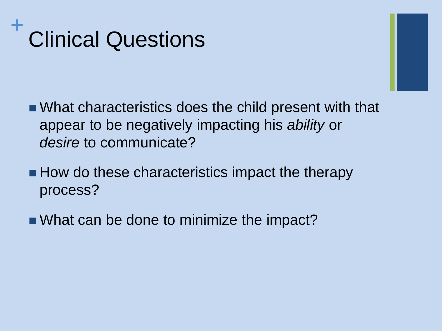#### **+** Clinical Questions

- What characteristics does the child present with that appear to be negatively impacting his *ability* or *desire* to communicate?
- $\blacksquare$  How do these characteristics impact the therapy process?
- What can be done to minimize the impact?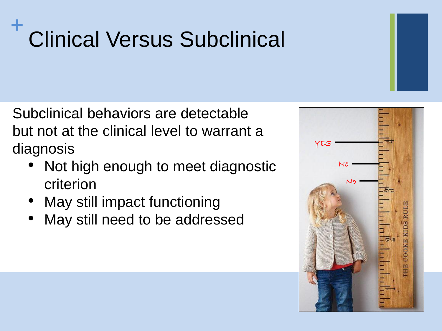#### **+** Clinical Versus Subclinical

Subclinical behaviors are detectable but not at the clinical level to warrant a diagnosis

- Not high enough to meet diagnostic criterion
- May still impact functioning
- May still need to be addressed

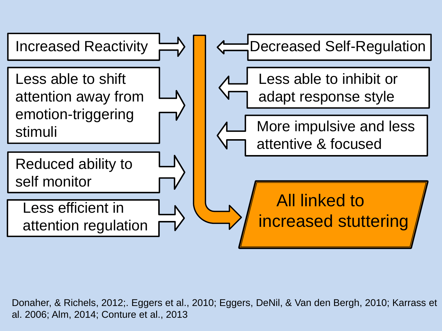

Donaher, & Richels, 2012;. Eggers et al., 2010; Eggers, DeNil, & Van den Bergh, 2010; Karrass et al. 2006; Alm, 2014; Conture et al., 2013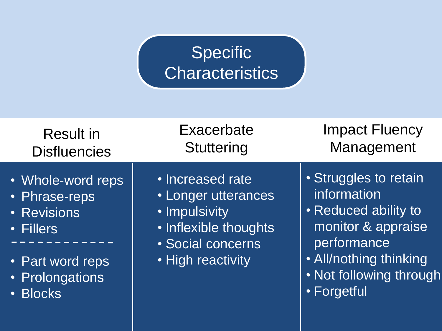#### **Specific Characteristics**

| <b>Result in</b>                                                                                                  | Exacerbate                                                                                                                  | <b>Impact Fluency</b>                                                                                                                                                 |
|-------------------------------------------------------------------------------------------------------------------|-----------------------------------------------------------------------------------------------------------------------------|-----------------------------------------------------------------------------------------------------------------------------------------------------------------------|
| <b>Disfluencies</b>                                                                                               | Stuttering                                                                                                                  | Management                                                                                                                                                            |
| • Whole-word reps<br>· Phrase-reps<br>• Revisions<br>• Fillers<br>• Part word reps<br>• Prolongations<br>· Blocks | · Increased rate<br>• Longer utterances<br>• Impulsivity<br>· Inflexible thoughts<br>· Social concerns<br>• High reactivity | · Struggles to retain<br>information<br>• Reduced ability to<br>monitor & appraise<br>performance<br>• All/nothing thinking<br>. Not following through<br>• Forgetful |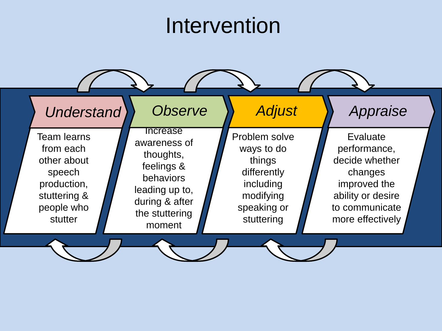#### Intervention

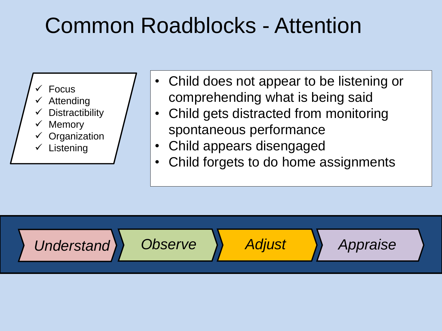#### Common Roadblocks - Attention

- Focus
- Attending
- **Distractibility**
- **Memory**
- **Organization**
- $\checkmark$  Listening
- Child does not appear to be listening or comprehending what is being said
- Child gets distracted from monitoring spontaneous performance
- Child appears disengaged
- Child forgets to do home assignments

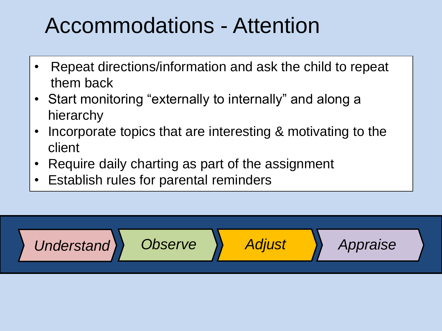#### Accommodations - Attention

- Repeat directions/information and ask the child to repeat them back
- Start monitoring "externally to internally" and along a hierarchy
- Incorporate topics that are interesting & motivating to the client
- Require daily charting as part of the assignment
- Establish rules for parental reminders

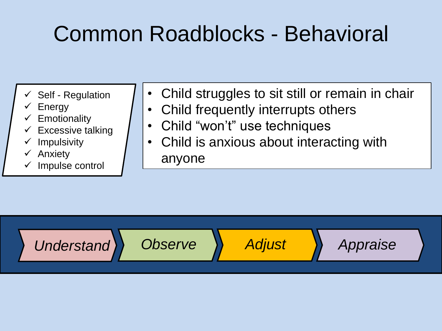### Common Roadblocks - Behavioral

- $\checkmark$  Self Regulation
- $\checkmark$  Energy
- $\checkmark$  Emotionality
- Excessive talking
- $\checkmark$  Impulsivity
- $\checkmark$  Anxiety
- $\checkmark$  Impulse control
- Child struggles to sit still or remain in chair
- Child frequently interrupts others
- Child "won't" use techniques
- Child is anxious about interacting with anyone

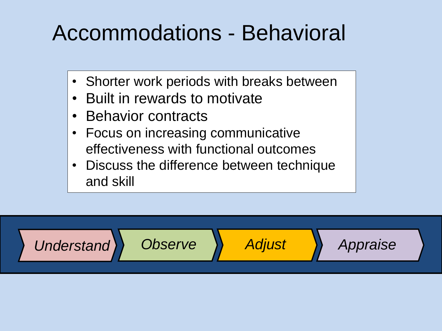#### Accommodations - Behavioral

- Shorter work periods with breaks between
- Built in rewards to motivate
- Behavior contracts
- Focus on increasing communicative effectiveness with functional outcomes
- Discuss the difference between technique and skill

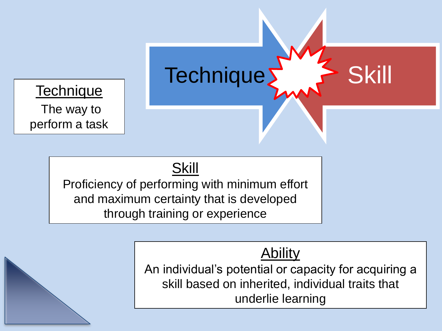**Technique** The way to perform a task

#### Skill

Proficiency of performing with minimum effort and maximum certainty that is developed through training or experience

#### Ability

Technique > Skill

An individual's potential or capacity for acquiring a skill based on inherited, individual traits that underlie learning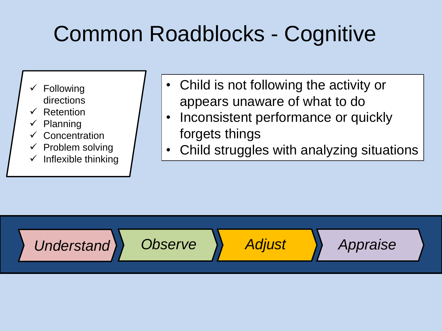## Common Roadblocks - Cognitive

- $\checkmark$  Following directions
- Retention
- $\checkmark$  Planning
- $\checkmark$  Concentration
- $\checkmark$  Problem solving
- $\checkmark$  Inflexible thinking
- Child is not following the activity or appears unaware of what to do
- Inconsistent performance or quickly forgets things
- Child struggles with analyzing situations

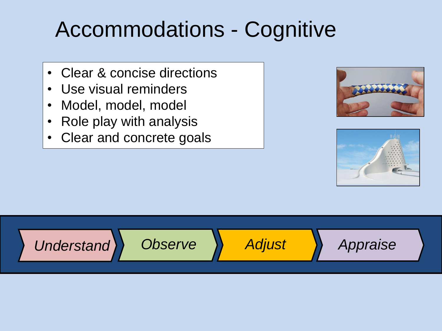#### Accommodations - Cognitive

- Clear & concise directions
- Use visual reminders
- Model, model, model
- Role play with analysis
- Clear and concrete goals





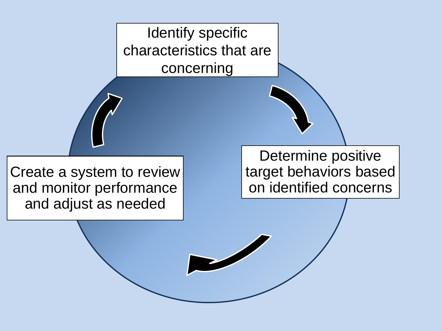Identify specific characteristics that are concerning

Create a system to review and monitor performance and adjust as needed

Determine positive target behaviors based on identified concerns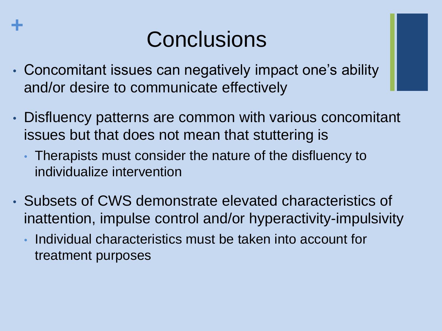#### **Conclusions**

• Concomitant issues can negatively impact one's ability and/or desire to communicate effectively

**+**

- Disfluency patterns are common with various concomitant issues but that does not mean that stuttering is
	- Therapists must consider the nature of the disfluency to individualize intervention
- Subsets of CWS demonstrate elevated characteristics of inattention, impulse control and/or hyperactivity-impulsivity
	- Individual characteristics must be taken into account for treatment purposes